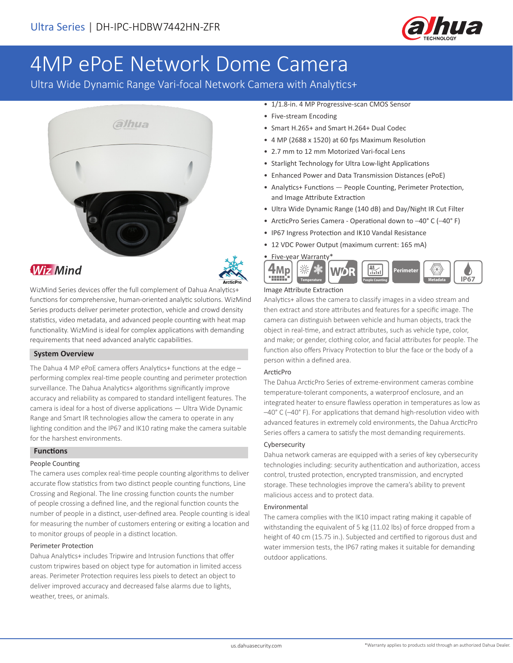

# 4MP ePoE Network Dome Camera

Ultra Wide Dynamic Range Vari-focal Network Camera with Analytics+







WizMind Series devices offer the full complement of Dahua Analytics+ functions for comprehensive, human-oriented analytic solutions. WizMind Series products deliver perimeter protection, vehicle and crowd density statistics, video metadata, and advanced people counting with heat map functionality. WizMind is ideal for complex applications with demanding requirements that need advanced analytic capabilities.

#### **System Overview**

The Dahua 4 MP ePoE camera offers Analytics+ functions at the edge performing complex real-time people counting and perimeter protection surveillance. The Dahua Analytics+ algorithms significantly improve accuracy and reliability as compared to standard intelligent features. The camera is ideal for a host of diverse applications — Ultra Wide Dynamic Range and Smart IR technologies allow the camera to operate in any lighting condition and the IP67 and IK10 rating make the camera suitable for the harshest environments.

#### **Functions**

#### People Counting

The camera uses complex real-time people counting algorithms to deliver accurate flow statistics from two distinct people counting functions, Line Crossing and Regional. The line crossing function counts the number of people crossing a defined line, and the regional function counts the number of people in a distinct, user-defined area. People counting is ideal for measuring the number of customers entering or exiting a location and to monitor groups of people in a distinct location.

#### Perimeter Protection

Dahua Analytics+ includes Tripwire and Intrusion functions that offer custom tripwires based on object type for automation in limited access areas. Perimeter Protection requires less pixels to detect an object to deliver improved accuracy and decreased false alarms due to lights, weather, trees, or animals.

- 1/1.8-in. 4 MP Progressive-scan CMOS Sensor
- Five-stream Encoding
- Smart H.265+ and Smart H.264+ Dual Codec
- 4 MP (2688 x 1520) at 60 fps Maximum Resolution
- 2.7 mm to 12 mm Motorized Vari-focal Lens
- Starlight Technology for Ultra Low-light Applications
- Enhanced Power and Data Transmission Distances (ePoE)
- Analytics+ Functions People Counting, Perimeter Protection, and Image Attribute Extraction
- Ultra Wide Dynamic Range (140 dB) and Day/Night IR Cut Filter
- ArcticPro Series Camera Operational down to –40° C (–40° F)
- IP67 Ingress Protection and IK10 Vandal Resistance
- 12 VDC Power Output (maximum current: 165 mA)
- Five-year Warranty\*  $\frac{4}{10}$ **4Mp** WD. Perimete **IP67Temperature Research Counting People Counting People Counting People Counting**

#### Image Attribute Extraction

Analytics+ allows the camera to classify images in a video stream and then extract and store attributes and features for a specific image. The camera can distinguish between vehicle and human objects, track the object in real-time, and extract attributes, such as vehicle type, color, and make; or gender, clothing color, and facial attributes for people. The function also offers Privacy Protection to blur the face or the body of a person within a defined area.

#### ArcticPro

The Dahua ArcticPro Series of extreme-environment cameras combine temperature-tolerant components, a waterproof enclosure, and an integrated heater to ensure flawless operation in temperatures as low as –40° C (–40° F). For applications that demand high-resolution video with advanced features in extremely cold environments, the Dahua ArcticPro Series offers a camera to satisfy the most demanding requirements.

#### Cybersecurity

Dahua network cameras are equipped with a series of key cybersecurity technologies including: security authentication and authorization, access control, trusted protection, encrypted transmission, and encrypted storage. These technologies improve the camera's ability to prevent malicious access and to protect data.

#### Environmental

The camera complies with the IK10 impact rating making it capable of withstanding the equivalent of 5 kg (11.02 lbs) of force dropped from a height of 40 cm (15.75 in.). Subjected and certified to rigorous dust and water immersion tests, the IP67 rating makes it suitable for demanding outdoor applications.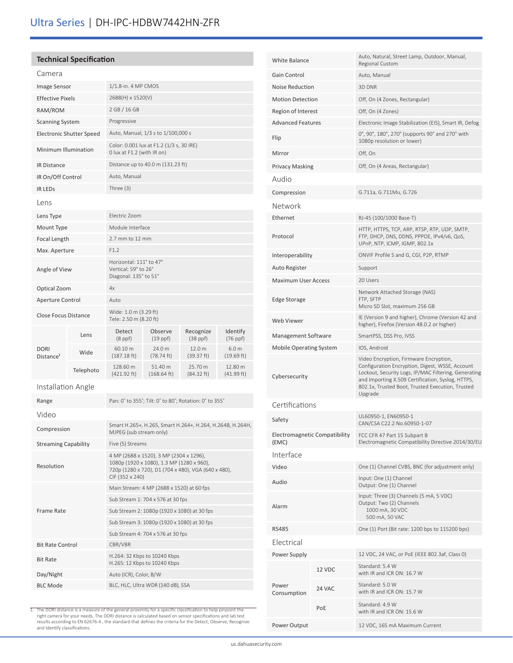# **Technical Specification**

| Camera                        |                                 |                                                                                                                                                                |                                             |                                 |                                |  |  |
|-------------------------------|---------------------------------|----------------------------------------------------------------------------------------------------------------------------------------------------------------|---------------------------------------------|---------------------------------|--------------------------------|--|--|
| Image Sensor                  |                                 | 1/1.8-in. 4 MP CMOS                                                                                                                                            |                                             |                                 |                                |  |  |
| <b>Effective Pixels</b>       |                                 | 2688(H) x 1520(V)                                                                                                                                              |                                             |                                 |                                |  |  |
| RAM/ROM                       |                                 | 2 GB / 16 GB                                                                                                                                                   |                                             |                                 |                                |  |  |
| <b>Scanning System</b>        |                                 | Progressive                                                                                                                                                    |                                             |                                 |                                |  |  |
|                               | <b>Electronic Shutter Speed</b> |                                                                                                                                                                | Auto, Manual, 1/3 s to 1/100,000 s          |                                 |                                |  |  |
| Minimum Illumination          |                                 | Color: 0.001 lux at F1.2 (1/3 s, 30 IRE)<br>0 lux at F1.2 (with IR on)                                                                                         |                                             |                                 |                                |  |  |
| <b>IR Distance</b>            |                                 |                                                                                                                                                                | Distance up to 40.0 m (131.23 ft)           |                                 |                                |  |  |
| IR On/Off Control             |                                 | Auto, Manual                                                                                                                                                   |                                             |                                 |                                |  |  |
| <b>IR LEDS</b>                |                                 | Three $(3)$                                                                                                                                                    |                                             |                                 |                                |  |  |
| Lens                          |                                 |                                                                                                                                                                |                                             |                                 |                                |  |  |
| Lens Type                     |                                 | Electric Zoom                                                                                                                                                  |                                             |                                 |                                |  |  |
| Mount Type                    |                                 | Module Interface                                                                                                                                               |                                             |                                 |                                |  |  |
| Focal Length                  |                                 | 2.7 mm to 12 mm                                                                                                                                                |                                             |                                 |                                |  |  |
| Max. Aperture                 |                                 | F1.2                                                                                                                                                           |                                             |                                 |                                |  |  |
| Angle of View                 |                                 | Horizontal: 111° to 47°<br>Vertical: 59° to 26°<br>Diagonal: 135° to 51°                                                                                       |                                             |                                 |                                |  |  |
| Optical Zoom                  |                                 | 4x                                                                                                                                                             |                                             |                                 |                                |  |  |
| Aperture Control              |                                 | Auto                                                                                                                                                           |                                             |                                 |                                |  |  |
| <b>Close Focus Distance</b>   |                                 | Wide: 1.0 m (3.29 ft)<br>Tele: 2.50 m (8.20 ft)                                                                                                                |                                             |                                 |                                |  |  |
|                               | Lens                            | Detect<br>$(8$ ppf $)$                                                                                                                                         | Observe<br>$(19$ ppf $)$                    | Recognize<br>$(38$ ppf $)$      | Identify<br>(76 ppf)           |  |  |
| DORI<br>Distance <sup>1</sup> | Wide                            | 60.10 m<br>$(187.18 \text{ ft})$                                                                                                                               | 24.0 m<br>$(78.74 \text{ ft})$              | 12.0 <sub>m</sub><br>(39.37 ft) | 6.0 <sub>m</sub><br>(19.69 ft) |  |  |
|                               | Telephoto                       | 128.60 m<br>(421.92 ft)                                                                                                                                        | 51.40 m<br>$(168.64 \text{ ft})$            | 25.70 m<br>$(84.32 \text{ ft})$ | 12.80 m<br>(41.99 ft)          |  |  |
| Installation Angle            |                                 |                                                                                                                                                                |                                             |                                 |                                |  |  |
| Range                         |                                 | Pan: 0° to 355°; Tilt: 0° to 80°; Rotation: 0° to 355°                                                                                                         |                                             |                                 |                                |  |  |
| Video                         |                                 |                                                                                                                                                                |                                             |                                 |                                |  |  |
| Compression                   |                                 | Smart H.265+, H.265, Smart H.264+, H.264, H.264B, H.264H,<br>MJPEG (sub stream only)                                                                           |                                             |                                 |                                |  |  |
| <b>Streaming Capability</b>   |                                 | Five (5) Streams                                                                                                                                               |                                             |                                 |                                |  |  |
| Resolution                    |                                 | 4 MP (2688 x 1520), 3 MP (2304 x 1296),<br>1080p (1920 x 1080), 1.3 MP (1280 x 960),<br>720p (1280 x 720), D1 (704 x 480), VGA (640 x 480),<br>CIF (352 x 240) |                                             |                                 |                                |  |  |
|                               |                                 | Main Stream: 4 MP (2688 x 1520) at 60 fps                                                                                                                      |                                             |                                 |                                |  |  |
|                               |                                 | Sub Stream 1: 704 x 576 at 30 fps                                                                                                                              |                                             |                                 |                                |  |  |
| <b>Frame Rate</b>             |                                 |                                                                                                                                                                | Sub Stream 2: 1080p (1920 x 1080) at 30 fps |                                 |                                |  |  |
|                               |                                 | Sub Stream 3: 1080p (1920 x 1080) at 30 fps                                                                                                                    |                                             |                                 |                                |  |  |
|                               |                                 | Sub Stream 4: 704 x 576 at 30 fps                                                                                                                              |                                             |                                 |                                |  |  |
| <b>Bit Rate Control</b>       |                                 | CBR/VBR                                                                                                                                                        |                                             |                                 |                                |  |  |
| <b>Bit Rate</b>               |                                 | H.264: 32 Kbps to 10240 Kbps<br>H.265: 12 Kbps to 10240 Kbps                                                                                                   |                                             |                                 |                                |  |  |
| Day/Night                     |                                 | Auto (ICR), Color, B/W                                                                                                                                         |                                             |                                 |                                |  |  |
|                               | <b>BLC Mode</b>                 |                                                                                                                                                                | BLC, HLC, Ultra WDR (140 dB), SSA           |                                 |                                |  |  |

| <b>White Balance</b>                   |        | Auto, Natural, Street Lamp, Outdoor, Manual,<br>Regional Custom                                                                                                                                                                                                       |  |
|----------------------------------------|--------|-----------------------------------------------------------------------------------------------------------------------------------------------------------------------------------------------------------------------------------------------------------------------|--|
| Gain Control                           |        | Auto, Manual                                                                                                                                                                                                                                                          |  |
| Noise Reduction                        |        | 3D DNR                                                                                                                                                                                                                                                                |  |
| <b>Motion Detection</b>                |        | Off, On (4 Zones, Rectangular)                                                                                                                                                                                                                                        |  |
| Region of Interest                     |        | Off, On (4 Zones)                                                                                                                                                                                                                                                     |  |
| <b>Advanced Features</b>               |        | Electronic Image Stabilization (EIS), Smart IR, Defog                                                                                                                                                                                                                 |  |
| Flip                                   |        | 0°, 90°, 180°, 270° (supports 90° and 270° with<br>1080p resolution or lower)                                                                                                                                                                                         |  |
| Mirror                                 |        | Off, On                                                                                                                                                                                                                                                               |  |
| <b>Privacy Masking</b>                 |        | Off, On (4 Areas, Rectangular)                                                                                                                                                                                                                                        |  |
| Audio                                  |        |                                                                                                                                                                                                                                                                       |  |
| Compression                            |        | G.711a, G.711Mu, G.726                                                                                                                                                                                                                                                |  |
| Network                                |        |                                                                                                                                                                                                                                                                       |  |
| Ethernet                               |        | RJ-45 (100/1000 Base-T)                                                                                                                                                                                                                                               |  |
| Protocol                               |        | HTTP, HTTPS, TCP, ARP, RTSP, RTP, UDP, SMTP,<br>FTP, DHCP, DNS, DDNS, PPPOE, IPv4/v6, QoS,<br>UPnP, NTP, ICMP, IGMP, 802.1x                                                                                                                                           |  |
| Interoperability                       |        | ONVIF Profile S and G, CGI, P2P, RTMP                                                                                                                                                                                                                                 |  |
| Auto Register                          |        | Support                                                                                                                                                                                                                                                               |  |
| <b>Maximum User Access</b>             |        | 20 Users                                                                                                                                                                                                                                                              |  |
| Edge Storage                           |        | Network Attached Storage (NAS)<br>FTP, SFTP<br>Micro SD Slot, maximum 256 GB                                                                                                                                                                                          |  |
| Web Viewer                             |        | IE (Version 9 and higher), Chrome (Version 42 and<br>higher), Firefox (Version 48.0.2 or higher)                                                                                                                                                                      |  |
| Management Software                    |        | SmartPSS, DSS Pro, IVSS                                                                                                                                                                                                                                               |  |
| <b>Mobile Operating System</b>         |        | IOS, Android                                                                                                                                                                                                                                                          |  |
| Cybersecurity                          |        | Video Encryption, Firmware Encryption,<br>Configuration Encryption, Digest, WSSE, Account<br>Lockout, Security Logs, IP/MAC Filtering, Generating<br>and Importing X.509 Certification, Syslog, HTTPS,<br>802.1x, Trusted Boot, Trusted Execution, Trusted<br>Upgrade |  |
| Certifications                         |        |                                                                                                                                                                                                                                                                       |  |
| Safety                                 |        | UL60950-1, EN60950-1<br>CAN/CSA C22.2 No.60950-1-07                                                                                                                                                                                                                   |  |
| Electromagnetic Compatibility<br>(EMC) |        | FCC CFR 47 Part 15 Subpart B<br>Electromagnetic Compatibility Directive 2014/30/EU                                                                                                                                                                                    |  |
| Interface                              |        |                                                                                                                                                                                                                                                                       |  |
| Video                                  |        | One (1) Channel CVBS, BNC (for adjustment only)                                                                                                                                                                                                                       |  |
| Audio                                  |        | Input: One (1) Channel<br>Output: One (1) Channel                                                                                                                                                                                                                     |  |
| Alarm                                  |        | Input: Three (3) Channels (5 mA, 5 VDC)<br>Output: Two (2) Channels<br>1000 mA, 30 VDC<br>500 mA, 50 VAC                                                                                                                                                              |  |
| <b>RS485</b>                           |        | One (1) Port (Bit rate: 1200 bps to 115200 bps)                                                                                                                                                                                                                       |  |
| Electrical                             |        |                                                                                                                                                                                                                                                                       |  |
| Power Supply                           |        | 12 VDC, 24 VAC, or PoE (IEEE 802.3af, Class 0)                                                                                                                                                                                                                        |  |
|                                        | 12 VDC | Standard: 5.4 W<br>with IR and ICR ON: 16.7 W                                                                                                                                                                                                                         |  |
| Power<br>Consumption                   | 24 VAC | Standard: 5.0 W<br>with IR and ICR ON: 15.7 W                                                                                                                                                                                                                         |  |
|                                        | PoE    | Standard: 4.9 W<br>with IR and ICR ON: 15.6 W                                                                                                                                                                                                                         |  |
| Power Output                           |        | 12 VDC, 165 mA Maximum Current                                                                                                                                                                                                                                        |  |

1. The DORI distance is a measure of the general proximity for a specific classification to help pinpoint the<br>right camera for your needs. The DORI distance is calculated based on sensor specifications and lab test<br>results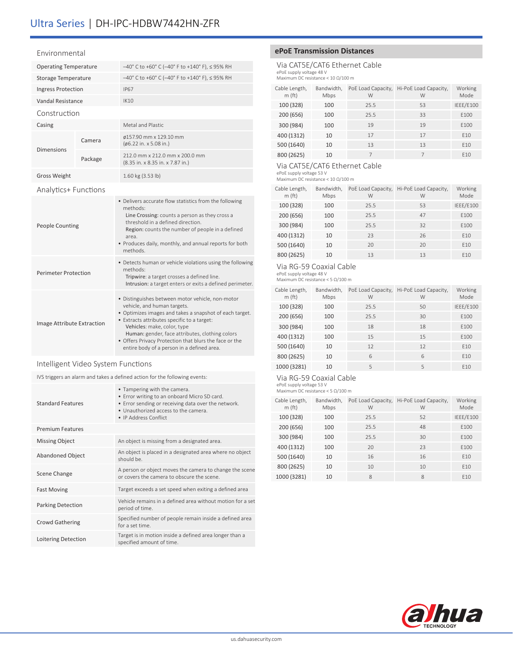#### Environmental

| <b>Operating Temperature</b> |         | $-40^{\circ}$ C to +60° C (-40° F to +140° F), $\leq$ 95% RH                                                                                                                                                                                                                                                                                                                        |  |
|------------------------------|---------|-------------------------------------------------------------------------------------------------------------------------------------------------------------------------------------------------------------------------------------------------------------------------------------------------------------------------------------------------------------------------------------|--|
| <b>Storage Temperature</b>   |         | $-40^{\circ}$ C to +60° C (-40° F to +140° F), $\leq$ 95% RH                                                                                                                                                                                                                                                                                                                        |  |
| <b>Ingress Protection</b>    |         | <b>IP67</b>                                                                                                                                                                                                                                                                                                                                                                         |  |
| Vandal Resistance            |         | IK10                                                                                                                                                                                                                                                                                                                                                                                |  |
| Construction                 |         |                                                                                                                                                                                                                                                                                                                                                                                     |  |
| Casing                       |         | Metal and Plastic                                                                                                                                                                                                                                                                                                                                                                   |  |
| Camera                       |         | ø157.90 mm x 129.10 mm<br>(ø6.22 in. x 5.08 in.)                                                                                                                                                                                                                                                                                                                                    |  |
| <b>Dimensions</b>            | Package | 212.0 mm x 212.0 mm x 200.0 mm<br>(8.35 in. x 8.35 in. x 7.87 in.)                                                                                                                                                                                                                                                                                                                  |  |
| <b>Gross Weight</b>          |         | 1.60 kg (3.53 lb)                                                                                                                                                                                                                                                                                                                                                                   |  |
| Analytics+ Functions         |         |                                                                                                                                                                                                                                                                                                                                                                                     |  |
| <b>People Counting</b>       |         | • Delivers accurate flow statistics from the following<br>methods:<br>Line Crossing: counts a person as they cross a<br>threshold in a defined direction.<br>Region: counts the number of people in a defined<br>area.<br>• Produces daily, monthly, and annual reports for both<br>methods.                                                                                        |  |
| <b>Perimeter Protection</b>  |         | • Detects human or vehicle violations using the following<br>methods:<br>Tripwire: a target crosses a defined line.<br>Intrusion: a target enters or exits a defined perimeter.                                                                                                                                                                                                     |  |
| Image Attribute Extraction   |         | · Distinguishes between motor vehicle, non-motor<br>vehicle, and human targets.<br>• Optimizes images and takes a snapshot of each target.<br>• Extracts attributes specific to a target:<br>Vehicles: make, color, type<br>Human: gender, face attributes, clothing colors<br>• Offers Privacy Protection that blurs the face or the<br>entire body of a person in a defined area. |  |

#### Intelligent Video System Functions

IVS triggers an alarm and takes a defined action for the following events:

| <b>Standard Features</b> | • Tampering with the camera.<br>• Error writing to an onboard Micro SD card.<br>• Error sending or receiving data over the network.<br>. Unauthorized access to the camera.<br>• IP Address Conflict |  |
|--------------------------|------------------------------------------------------------------------------------------------------------------------------------------------------------------------------------------------------|--|
| <b>Premium Features</b>  |                                                                                                                                                                                                      |  |
| <b>Missing Object</b>    | An object is missing from a designated area.                                                                                                                                                         |  |
| <b>Abandoned Object</b>  | An object is placed in a designated area where no object<br>should be.                                                                                                                               |  |
| Scene Change             | A person or object moves the camera to change the scene<br>or covers the camera to obscure the scene.                                                                                                |  |
| <b>Fast Moving</b>       | Target exceeds a set speed when exiting a defined area                                                                                                                                               |  |
| <b>Parking Detection</b> | Vehicle remains in a defined area without motion for a set<br>period of time.                                                                                                                        |  |
| <b>Crowd Gathering</b>   | Specified number of people remain inside a defined area<br>for a set time.                                                                                                                           |  |
| Loitering Detection      | Target is in motion inside a defined area longer than a<br>specified amount of time.                                                                                                                 |  |

#### **ePoE Transmission Distances**

Via CAT5E/CAT6 Ethernet Cable ePoE supply voltage 48 V Maximum DC resistance < 10 Ω/100 m

| Cable Length,<br>m(ft) | Bandwidth,<br>Mbps | PoE Load Capacity,<br>W | Hi-PoE Load Capacity,<br>W | Working<br>Mode |
|------------------------|--------------------|-------------------------|----------------------------|-----------------|
| 100 (328)              | 100                | 25.5                    | 53                         | IEEE/E100       |
| 200 (656)              | 100                | 25.5                    | 33                         | E100            |
| 300 (984)              | 100                | 19                      | 19                         | E100            |
| 400 (1312)             | 10                 | 17                      | 17                         | F <sub>10</sub> |
| 500 (1640)             | 10                 | 13                      | 13                         | E10             |
| 800 (2625)             | 10                 |                         |                            | F <sub>10</sub> |

#### Via CAT5E/CAT6 Ethernet Cable

ePoE supply voltage 53 V Maximum DC resistance < 10 Ω/100 m

| Cable Length,<br>m(ft) | Bandwidth,<br>Mbps | PoE Load Capacity,<br>W | Hi-PoE Load Capacity,<br>W | Working<br>Mode |
|------------------------|--------------------|-------------------------|----------------------------|-----------------|
| 100 (328)              | 100                | 25.5                    | 53                         | IEEE/E100       |
| 200 (656)              | 100                | 25.5                    | 47                         | E100            |
| 300 (984)              | 100                | 25.5                    | 32                         | E100            |
| 400 (1312)             | 10                 | 23                      | 26                         | F <sub>10</sub> |
| 500 (1640)             | 10                 | 20                      | 20                         | F <sub>10</sub> |
| 800 (2625)             | 10                 | 13                      | 13                         | F <sub>10</sub> |

#### Via RG-59 Coaxial Cable

ePoE supply voltage 48 V Maximum DC resistance < 5 Ω/100 m

| Cable Length,<br>m(ft) | Bandwidth,<br>Mbps | PoE Load Capacity,<br>W | Hi-PoE Load Capacity,<br>W | Working<br>Mode |
|------------------------|--------------------|-------------------------|----------------------------|-----------------|
| 100 (328)              | 100                | 25.5                    | 50                         | IEEE/E100       |
| 200 (656)              | 100                | 25.5                    | 30                         | E100            |
| 300 (984)              | 100                | 18                      | 18                         | E100            |
| 400 (1312)             | 100                | 15                      | 15                         | E100            |
| 500 (1640)             | 10                 | 12                      | 12                         | E10             |
| 800 (2625)             | 10                 | 6                       | 6                          | F <sub>10</sub> |
| 1000 (3281)            | 10                 | 5                       | 5                          | F <sub>10</sub> |

## Via RG-59 Coaxial Cable

ePoE supply voltage 53 V Maximum DC resistance < 5 Ω/100 m

| Cable Length,<br>m(ft) | Bandwidth,<br>Mbps | PoE Load Capacity,<br>W | Hi-PoE Load Capacity,<br>W | Working<br>Mode  |
|------------------------|--------------------|-------------------------|----------------------------|------------------|
| 100 (328)              | 100                | 25.5                    | 52                         | IEEE/E100        |
| 200 (656)              | 100                | 25.5                    | 48                         | F100             |
| 300 (984)              | 100                | 25.5                    | 30                         | F <sub>100</sub> |
| 400 (1312)             | 100                | 20                      | 23                         | F <sub>100</sub> |
| 500 (1640)             | 10                 | 16                      | 16                         | F <sub>10</sub>  |
| 800 (2625)             | 10                 | 10                      | 10                         | F <sub>10</sub>  |
| 1000 (3281)            | 10                 | 8                       | 8                          | F <sub>10</sub>  |